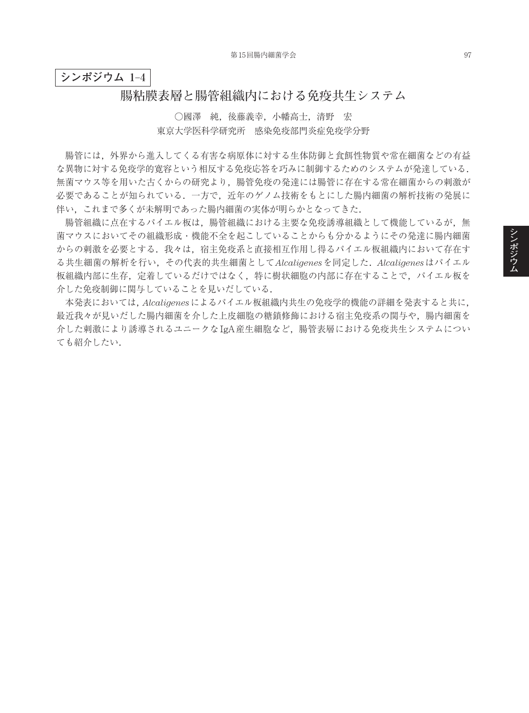## **シンポジウム 1**–**4**

## **腸粘膜表層と腸管組織内における免疫共生システム**

○國澤 純,後藤義幸,小幡高士,清野 宏 東京大学医科学研究所 感染免疫部門炎症免疫学分野

腸管には,外界から進入してくる有害な病原体に対する生体防御と食餌性物質や常在細菌などの有益 な異物に対する免疫学的寛容という相反する免疫応答を巧みに制御するためのシステムが発達している. 無菌マウス等を用いた古くからの研究より,腸管免疫の発達には腸管に存在する常在細菌からの刺激が 必要であることが知られている.一方で,近年のゲノム技術をもとにした腸内細菌の解析技術の発展に 伴い,これまで多くが未解明であった腸内細菌の実体が明らかとなってきた.

腸管組織に点在するパイエル板は、腸管組織における主要な免疫誘導組織として機能しているが、無 菌マウスにおいてその組織形成・機能不全を起こしていることからも分かるようにその発達に腸内細菌 からの刺激を必要とする.我々は,宿主免疫系と直接相互作用し得るパイエル板組織内において存在す る共生細菌の解析を行い,その代表的共生細菌として*Alcaligenes*を同定した.*Alcaligenes*はパイエル 板組織内部に生存,定着しているだけではなく,特に樹状細胞の内部に存在することで,パイエル板を 介した免疫制御に関与していることを見いだしている.

本発表においては,*Alcaligenes*によるパイエル板組織内共生の免疫学的機能の詳細を発表すると共に, 最近我々が見いだした腸内細菌を介した上皮細胞の糖鎖修飾における宿主免疫系の関与や,腸内細菌を 介した刺激により誘導されるユニークなIgA産生細胞など,腸管表層における免疫共生システムについ ても紹介したい.